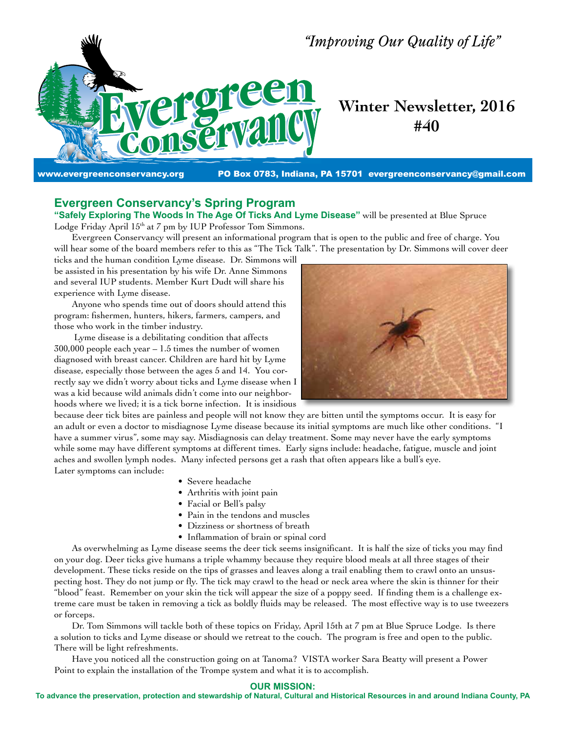

*"Improving Our Quality of Life"*

# **Winter Newsletter, 2016 #40**

www.evergreenconservancy.org PO Box 0783, Indiana, PA 15701 evergreenconservancy@gmail.com

# **Evergreen Conservancy's Spring Program**

**"Safely Exploring The Woods In The Age Of Ticks And Lyme Disease"** will be presented at Blue Spruce

#### Lodge Friday April 15<sup>th</sup> at 7 pm by IUP Professor Tom Simmons.

Evergreen Conservancy will present an informational program that is open to the public and free of charge. You will hear some of the board members refer to this as "The Tick Talk". The presentation by Dr. Simmons will cover deer

ticks and the human condition Lyme disease. Dr. Simmons will be assisted in his presentation by his wife Dr. Anne Simmons and several IUP students. Member Kurt Dudt will share his experience with Lyme disease.

Anyone who spends time out of doors should attend this program: fishermen, hunters, hikers, farmers, campers, and those who work in the timber industry.

 Lyme disease is a debilitating condition that affects 300,000 people each year – 1.5 times the number of women diagnosed with breast cancer. Children are hard hit by Lyme disease, especially those between the ages 5 and 14. You correctly say we didn't worry about ticks and Lyme disease when I was a kid because wild animals didn't come into our neighborhoods where we lived; it is a tick borne infection. It is insidious



because deer tick bites are painless and people will not know they are bitten until the symptoms occur. It is easy for an adult or even a doctor to misdiagnose Lyme disease because its initial symptoms are much like other conditions. "I have a summer virus", some may say. Misdiagnosis can delay treatment. Some may never have the early symptoms while some may have different symptoms at different times. Early signs include: headache, fatigue, muscle and joint aches and swollen lymph nodes. Many infected persons get a rash that often appears like a bull's eye. Later symptoms can include:

- Severe headache
- Arthritis with joint pain
- Facial or Bell's palsy
- Pain in the tendons and muscles
- Dizziness or shortness of breath
- Inflammation of brain or spinal cord

As overwhelming as Lyme disease seems the deer tick seems insignificant. It is half the size of ticks you may find on your dog. Deer ticks give humans a triple whammy because they require blood meals at all three stages of their development. These ticks reside on the tips of grasses and leaves along a trail enabling them to crawl onto an unsuspecting host. They do not jump or fly. The tick may crawl to the head or neck area where the skin is thinner for their "blood" feast. Remember on your skin the tick will appear the size of a poppy seed. If finding them is a challenge extreme care must be taken in removing a tick as boldly fluids may be released. The most effective way is to use tweezers or forceps.

Dr. Tom Simmons will tackle both of these topics on Friday, April 15th at 7 pm at Blue Spruce Lodge. Is there a solution to ticks and Lyme disease or should we retreat to the couch. The program is free and open to the public. There will be light refreshments.

Have you noticed all the construction going on at Tanoma? VISTA worker Sara Beatty will present a Power Point to explain the installation of the Trompe system and what it is to accomplish.

#### **OUR MISSION:**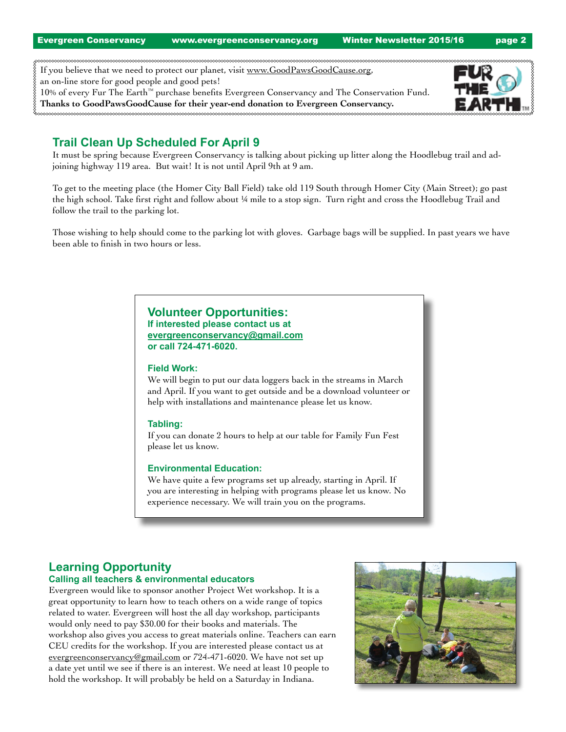If you believe that we need to protect our planet, visit www.GoodPawsGoodCause.org, an on-line store for good people and good pets! 10% of every Fur The Earth™ purchase benefits Evergreen Conservancy and The Conservation Fund. **Thanks to GoodPawsGoodCause for their year-end donation to Evergreen Conservancy.**



# **Trail Clean Up Scheduled For April 9**

It must be spring because Evergreen Conservancy is talking about picking up litter along the Hoodlebug trail and adjoining highway 119 area. But wait! It is not until April 9th at 9 am.

To get to the meeting place (the Homer City Ball Field) take old 119 South through Homer City (Main Street); go past the high school. Take first right and follow about ¼ mile to a stop sign. Turn right and cross the Hoodlebug Trail and follow the trail to the parking lot.

Those wishing to help should come to the parking lot with gloves. Garbage bags will be supplied. In past years we have been able to finish in two hours or less.

### **Volunteer Opportunities:**

**If interested please contact us at evergreenconservancy@gmail.com or call 724-471-6020.**

#### **Field Work:**

We will begin to put our data loggers back in the streams in March and April. If you want to get outside and be a download volunteer or help with installations and maintenance please let us know.

#### **Tabling:**

If you can donate 2 hours to help at our table for Family Fun Fest please let us know.

### **Environmental Education:**

We have quite a few programs set up already, starting in April. If you are interesting in helping with programs please let us know. No experience necessary. We will train you on the programs.

### **Learning Opportunity Calling all teachers & environmental educators**

Evergreen would like to sponsor another Project Wet workshop. It is a great opportunity to learn how to teach others on a wide range of topics related to water. Evergreen will host the all day workshop, participants would only need to pay \$30.00 for their books and materials. The workshop also gives you access to great materials online. Teachers can earn CEU credits for the workshop. If you are interested please contact us at evergreenconservancy@gmail.com or 724-471-6020. We have not set up a date yet until we see if there is an interest. We need at least 10 people to hold the workshop. It will probably be held on a Saturday in Indiana.

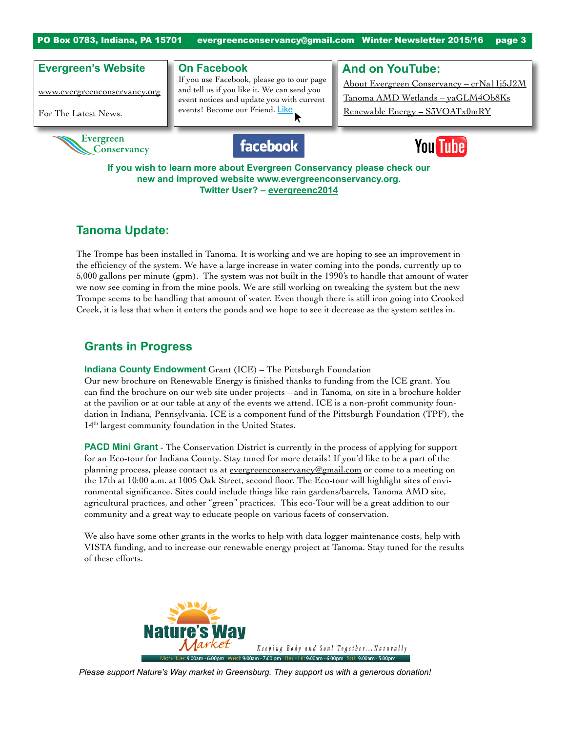PO Box 0783, Indiana, PA 15701 evergreenconservancy@gmail.com Winter Newsletter 2015/16 page 3

### **Evergreen's Website**

www.evergreenconservancy.org

For The Latest News.



### **On Facebook**

If you use Facebook, please go to our page and tell us if you like it. We can send you event notices and update you with current events! Become our Friend. Like

## **And on YouTube:**

About Evergreen Conservancy – crNa11j5J2M Tanoma AMD Wetlands – yaGLM4Ob8Ks Renewable Energy – S3VOATx0mRY





**If you wish to learn more about Evergreen Conservancy please check our new and improved website www.evergreenconservancy.org. Twitter User? – evergreenc2014**

# **Tanoma Update:**

The Trompe has been installed in Tanoma. It is working and we are hoping to see an improvement in the efficiency of the system. We have a large increase in water coming into the ponds, currently up to 5,000 gallons per minute (gpm). The system was not built in the 1990's to handle that amount of water we now see coming in from the mine pools. We are still working on tweaking the system but the new Trompe seems to be handling that amount of water. Even though there is still iron going into Crooked Creek, it is less that when it enters the ponds and we hope to see it decrease as the system settles in.

# **Grants in Progress**

**Indiana County Endowment** Grant (ICE) – The Pittsburgh Foundation Our new brochure on Renewable Energy is finished thanks to funding from the ICE grant. You can find the brochure on our web site under projects – and in Tanoma, on site in a brochure holder at the pavilion or at our table at any of the events we attend. ICE is a non-profit community foundation in Indiana, Pennsylvania. ICE is a component fund of the Pittsburgh Foundation (TPF), the 14<sup>th</sup> largest community foundation in the United States.

**PACD Mini Grant** - The Conservation District is currently in the process of applying for support for an Eco-tour for Indiana County. Stay tuned for more details! If you'd like to be a part of the planning process, please contact us at evergreenconservancy@gmail.com or come to a meeting on the 17th at 10:00 a.m. at 1005 Oak Street, second floor. The Eco-tour will highlight sites of environmental significance. Sites could include things like rain gardens/barrels, Tanoma AMD site, agricultural practices, and other "green" practices. This eco-Tour will be a great addition to our community and a great way to educate people on various facets of conservation.

We also have some other grants in the works to help with data logger maintenance costs, help with VISTA funding, and to increase our renewable energy project at Tanoma. Stay tuned for the results of these efforts.



*Please support Nature's Way market in Greensburg. They support us with a generous donation!*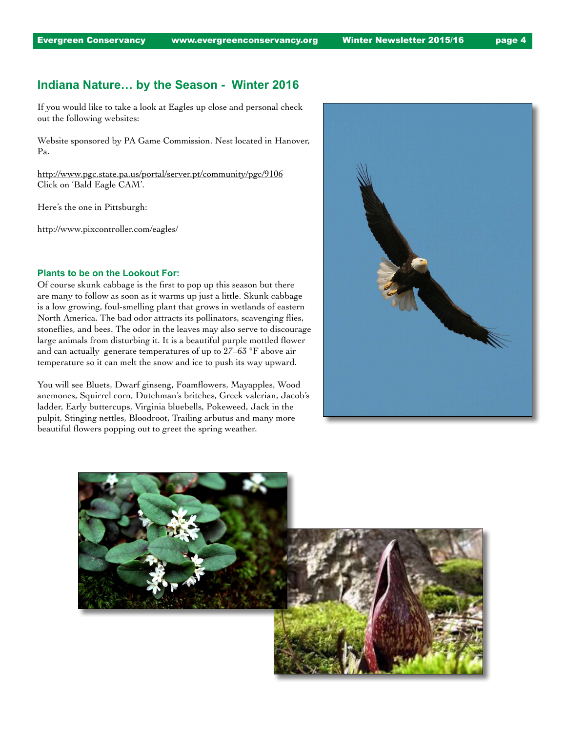### **Indiana Nature… by the Season - Winter 2016**

If you would like to take a look at Eagles up close and personal check out the following websites:

Website sponsored by PA Game Commission. Nest located in Hanover, Pa.

http://www.pgc.state.pa.us/portal/server.pt/community/pgc/9106 Click on 'Bald Eagle CAM'.

Here's the one in Pittsburgh:

http://www.pixcontroller.com/eagles/

#### **Plants to be on the Lookout For:**

Of course skunk cabbage is the first to pop up this season but there are many to follow as soon as it warms up just a little. Skunk cabbage is a low growing, foul-smelling plant that grows in wetlands of eastern North America. The bad odor attracts its pollinators, scavenging flies, stoneflies, and bees. The odor in the leaves may also serve to discourage large animals from disturbing it. It is a beautiful purple mottled flower and can actually generate temperatures of up to 27–63 °F above air temperature so it can melt the snow and ice to push its way upward.

You will see Bluets, Dwarf ginseng, Foamflowers, Mayapples, Wood anemones, Squirrel corn, Dutchman's britches, Greek valerian, Jacob's ladder, Early buttercups, Virginia bluebells, Pokeweed, Jack in the pulpit, Stinging nettles, Bloodroot, Trailing arbutus and many more beautiful flowers popping out to greet the spring weather.



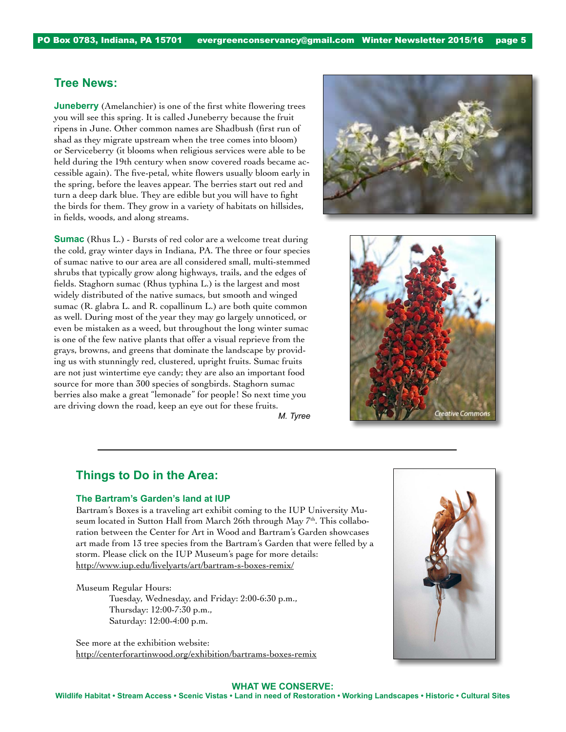### **Tree News:**

**Juneberry** (Amelanchier) is one of the first white flowering trees you will see this spring. It is called Juneberry because the fruit ripens in June. Other common names are Shadbush (first run of shad as they migrate upstream when the tree comes into bloom) or Serviceberry (it blooms when religious services were able to be held during the 19th century when snow covered roads became accessible again). The five-petal, white flowers usually bloom early in the spring, before the leaves appear. The berries start out red and turn a deep dark blue. They are edible but you will have to fight the birds for them. They grow in a variety of habitats on hillsides, in fields, woods, and along streams.

**Sumac** (Rhus L.) - Bursts of red color are a welcome treat during the cold, gray winter days in Indiana, PA. The three or four species of sumac native to our area are all considered small, multi-stemmed shrubs that typically grow along highways, trails, and the edges of fields. Staghorn sumac (Rhus typhina L.) is the largest and most widely distributed of the native sumacs, but smooth and winged sumac (R. glabra L. and R. copallinum L.) are both quite common as well. During most of the year they may go largely unnoticed, or even be mistaken as a weed, but throughout the long winter sumac is one of the few native plants that offer a visual reprieve from the grays, browns, and greens that dominate the landscape by providing us with stunningly red, clustered, upright fruits. Sumac fruits are not just wintertime eye candy; they are also an important food source for more than 300 species of songbirds. Staghorn sumac berries also make a great "lemonade" for people! So next time you are driving down the road, keep an eye out for these fruits.

*M. Tyree*





### **Things to Do in the Area:**

#### **The Bartram's Garden's land at IUP**

Bartram's Boxes is a traveling art exhibit coming to the IUP University Museum located in Sutton Hall from March 26th through May  $7<sup>th</sup>$ . This collaboration between the Center for Art in Wood and Bartram's Garden showcases art made from 13 tree species from the Bartram's Garden that were felled by a storm. Please click on the IUP Museum's page for more details: http://www.iup.edu/livelyarts/art/bartram-s-boxes-remix/

#### Museum Regular Hours:

Tuesday, Wednesday, and Friday: 2:00-6:30 p.m., Thursday: 12:00-7:30 p.m., Saturday: 12:00-4:00 p.m.

See more at the exhibition website: http://centerforartinwood.org/exhibition/bartrams-boxes-remix



#### **WHAT WE CONSERVE:**